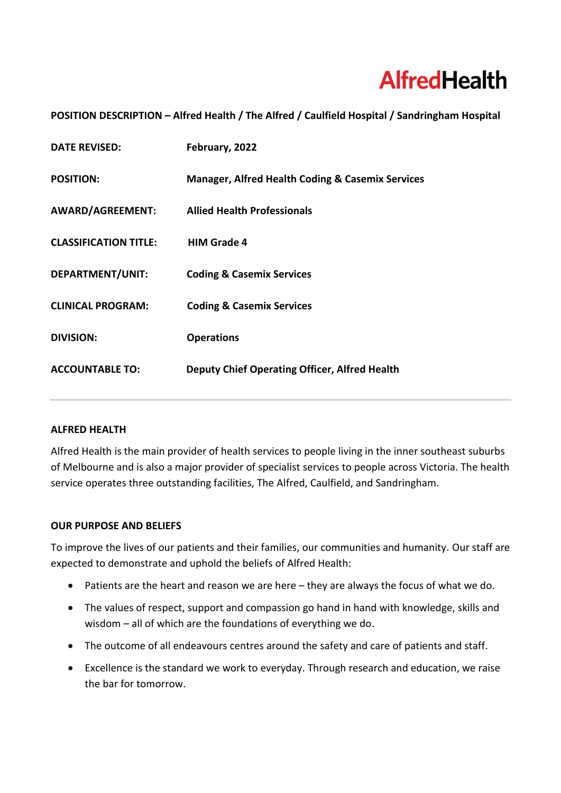# **AlfredHealth**

# **POSITION DESCRIPTION – Alfred Health / The Alfred / Caulfield Hospital / Sandringham Hospital**

| <b>DATE REVISED:</b>         | February, 2022                                              |
|------------------------------|-------------------------------------------------------------|
| <b>POSITION:</b>             | <b>Manager, Alfred Health Coding &amp; Casemix Services</b> |
| AWARD/AGREEMENT:             | <b>Allied Health Professionals</b>                          |
| <b>CLASSIFICATION TITLE:</b> | <b>HIM Grade 4</b>                                          |
| DEPARTMENT/UNIT:             | <b>Coding &amp; Casemix Services</b>                        |
| <b>CLINICAL PROGRAM:</b>     | <b>Coding &amp; Casemix Services</b>                        |
| <b>DIVISION:</b>             | <b>Operations</b>                                           |
| <b>ACCOUNTABLE TO:</b>       | <b>Deputy Chief Operating Officer, Alfred Health</b>        |

## **ALFRED HEALTH**

Alfred Health is the main provider of health services to people living in the inner southeast suburbs of Melbourne and is also a major provider of specialist services to people across Victoria. The health service operates three outstanding facilities, The Alfred, Caulfield, and Sandringham.

#### **OUR PURPOSE AND BELIEFS**

To improve the lives of our patients and their families, our communities and humanity. Our staff are expected to demonstrate and uphold the beliefs of Alfred Health:

- Patients are the heart and reason we are here they are always the focus of what we do.
- The values of respect, support and compassion go hand in hand with knowledge, skills and wisdom – all of which are the foundations of everything we do.
- The outcome of all endeavours centres around the safety and care of patients and staff.
- Excellence is the standard we work to everyday. Through research and education, we raise the bar for tomorrow.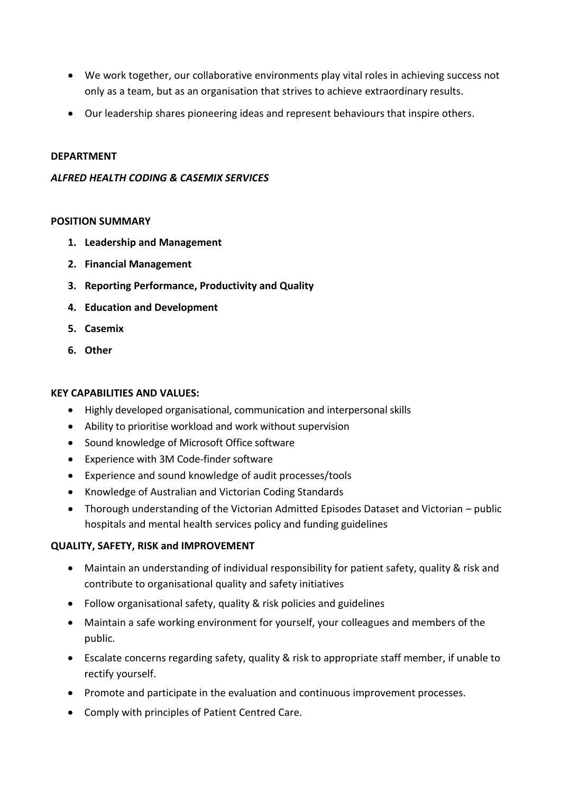- We work together, our collaborative environments play vital roles in achieving success not only as a team, but as an organisation that strives to achieve extraordinary results.
- Our leadership shares pioneering ideas and represent behaviours that inspire others.

#### **DEPARTMENT**

## *ALFRED HEALTH CODING & CASEMIX SERVICES*

## **POSITION SUMMARY**

- **1. Leadership and Management**
- **2. Financial Management**
- **3. Reporting Performance, Productivity and Quality**
- **4. Education and Development**
- **5. Casemix**
- **6. Other**

## **KEY CAPABILITIES AND VALUES:**

- Highly developed organisational, communication and interpersonal skills
- Ability to prioritise workload and work without supervision
- Sound knowledge of Microsoft Office software
- Experience with 3M Code-finder software
- Experience and sound knowledge of audit processes/tools
- Knowledge of Australian and Victorian Coding Standards
- Thorough understanding of the Victorian Admitted Episodes Dataset and Victorian public hospitals and mental health services policy and funding guidelines

# **QUALITY, SAFETY, RISK and IMPROVEMENT**

- Maintain an understanding of individual responsibility for patient safety, quality & risk and contribute to organisational quality and safety initiatives
- Follow organisational safety, quality & risk policies and guidelines
- Maintain a safe working environment for yourself, your colleagues and members of the public.
- Escalate concerns regarding safety, quality & risk to appropriate staff member, if unable to rectify yourself.
- Promote and participate in the evaluation and continuous improvement processes.
- Comply with principles of Patient Centred Care.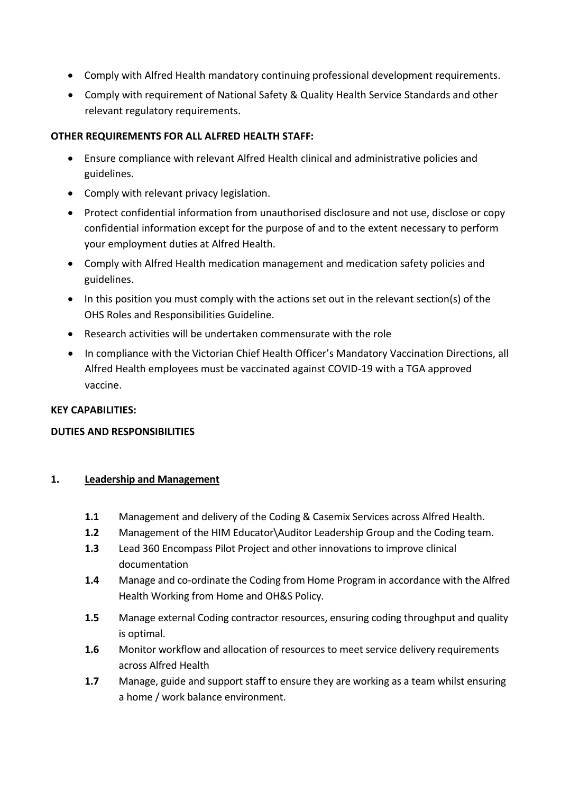- Comply with Alfred Health mandatory continuing professional development requirements.
- Comply with requirement of National Safety & Quality Health Service Standards and other relevant regulatory requirements.

## **OTHER REQUIREMENTS FOR ALL ALFRED HEALTH STAFF:**

- Ensure compliance with relevant Alfred Health clinical and administrative policies and guidelines.
- Comply with relevant privacy legislation.
- Protect confidential information from unauthorised disclosure and not use, disclose or copy confidential information except for the purpose of and to the extent necessary to perform your employment duties at Alfred Health.
- Comply with Alfred Health medication management and medication safety policies and guidelines.
- In this position you must comply with the actions set out in the relevant section(s) of the OHS Roles and Responsibilities Guideline.
- Research activities will be undertaken commensurate with the role
- In compliance with the Victorian Chief Health Officer's Mandatory Vaccination Directions, all Alfred Health employees must be vaccinated against COVID-19 with a TGA approved vaccine.

#### **KEY CAPABILITIES:**

# **DUTIES AND RESPONSIBILITIES**

#### **1. Leadership and Management**

- **1.1** Management and delivery of the Coding & Casemix Services across Alfred Health.
- **1.2** Management of the HIM Educator\Auditor Leadership Group and the Coding team.
- **1.3** Lead 360 Encompass Pilot Project and other innovations to improve clinical documentation
- **1.4** Manage and co-ordinate the Coding from Home Program in accordance with the Alfred Health Working from Home and OH&S Policy.
- **1.5** Manage external Coding contractor resources, ensuring coding throughput and quality is optimal.
- **1.6** Monitor workflow and allocation of resources to meet service delivery requirements across Alfred Health
- **1.7** Manage, guide and support staff to ensure they are working as a team whilst ensuring a home / work balance environment.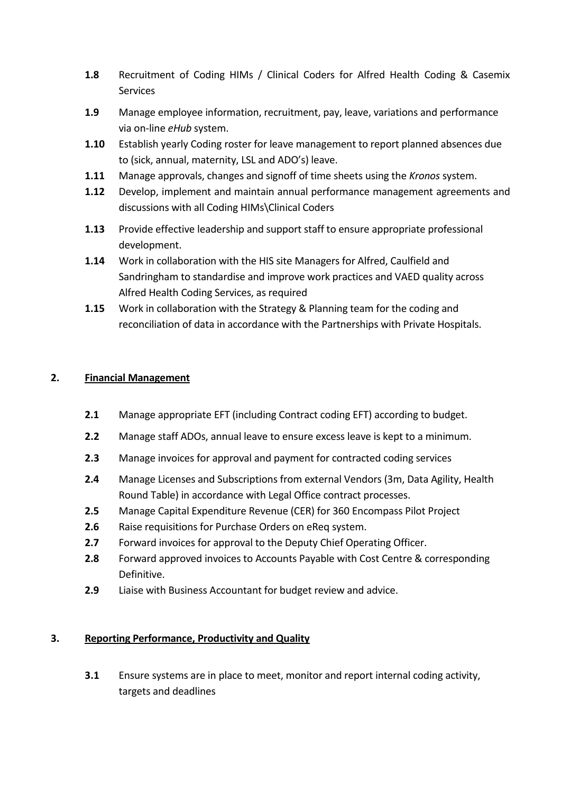- **1.8** Recruitment of Coding HIMs / Clinical Coders for Alfred Health Coding & Casemix Services
- **1.9** Manage employee information, recruitment, pay, leave, variations and performance via on-line *eHub* system.
- **1.10** Establish yearly Coding roster for leave management to report planned absences due to (sick, annual, maternity, LSL and ADO's) leave.
- **1.11** Manage approvals, changes and signoff of time sheets using the *Kronos* system.
- **1.12** Develop, implement and maintain annual performance management agreements and discussions with all Coding HIMs\Clinical Coders
- **1.13** Provide effective leadership and support staff to ensure appropriate professional development.
- **1.14** Work in collaboration with the HIS site Managers for Alfred, Caulfield and Sandringham to standardise and improve work practices and VAED quality across Alfred Health Coding Services, as required
- **1.15** Work in collaboration with the Strategy & Planning team for the coding and reconciliation of data in accordance with the Partnerships with Private Hospitals.

# **2. Financial Management**

- **2.1** Manage appropriate EFT (including Contract coding EFT) according to budget.
- **2.2** Manage staff ADOs, annual leave to ensure excess leave is kept to a minimum.
- **2.3** Manage invoices for approval and payment for contracted coding services
- **2.4** Manage Licenses and Subscriptions from external Vendors (3m, Data Agility, Health Round Table) in accordance with Legal Office contract processes.
- **2.5** Manage Capital Expenditure Revenue (CER) for 360 Encompass Pilot Project
- **2.6** Raise requisitions for Purchase Orders on eReq system.
- **2.7** Forward invoices for approval to the Deputy Chief Operating Officer.
- **2.8** Forward approved invoices to Accounts Payable with Cost Centre & corresponding Definitive.
- **2.9** Liaise with Business Accountant for budget review and advice.

# **3. Reporting Performance, Productivity and Quality**

**3.1** Ensure systems are in place to meet, monitor and report internal coding activity, targets and deadlines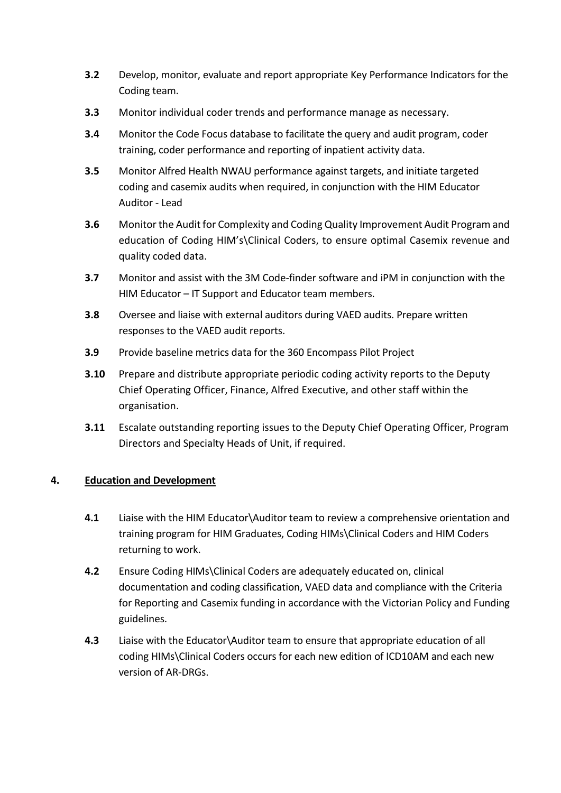- **3.2** Develop, monitor, evaluate and report appropriate Key Performance Indicators for the Coding team.
- **3.3** Monitor individual coder trends and performance manage as necessary.
- **3.4** Monitor the Code Focus database to facilitate the query and audit program, coder training, coder performance and reporting of inpatient activity data.
- **3.5** Monitor Alfred Health NWAU performance against targets, and initiate targeted coding and casemix audits when required, in conjunction with the HIM Educator Auditor - Lead
- **3.6** Monitor the Audit for Complexity and Coding Quality Improvement Audit Program and education of Coding HIM's\Clinical Coders, to ensure optimal Casemix revenue and quality coded data.
- **3.7** Monitor and assist with the 3M Code-finder software and iPM in conjunction with the HIM Educator – IT Support and Educator team members.
- **3.8** Oversee and liaise with external auditors during VAED audits. Prepare written responses to the VAED audit reports.
- **3.9** Provide baseline metrics data for the 360 Encompass Pilot Project
- **3.10** Prepare and distribute appropriate periodic coding activity reports to the Deputy Chief Operating Officer, Finance, Alfred Executive, and other staff within the organisation.
- **3.11** Escalate outstanding reporting issues to the Deputy Chief Operating Officer, Program Directors and Specialty Heads of Unit, if required.

# **4. Education and Development**

- **4.1** Liaise with the HIM Educator\Auditor team to review a comprehensive orientation and training program for HIM Graduates, Coding HIMs\Clinical Coders and HIM Coders returning to work.
- **4.2** Ensure Coding HIMs\Clinical Coders are adequately educated on, clinical documentation and coding classification, VAED data and compliance with the Criteria for Reporting and Casemix funding in accordance with the Victorian Policy and Funding guidelines.
- **4.3** Liaise with the Educator\Auditor team to ensure that appropriate education of all coding HIMs\Clinical Coders occurs for each new edition of ICD10AM and each new version of AR-DRGs.